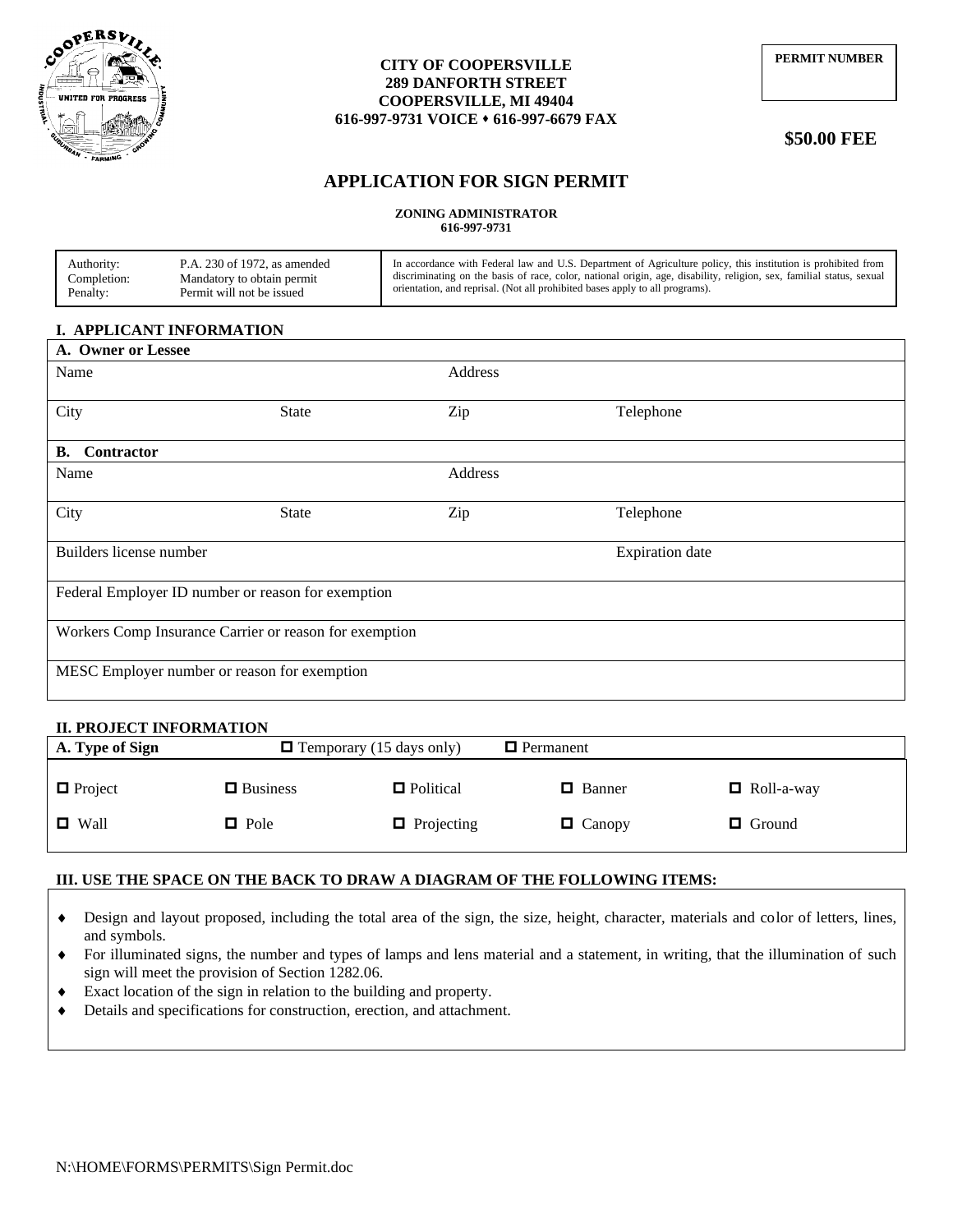

#### **CITY OF COOPERSVILLE 289 DANFORTH STREET COOPERSVILLE, MI 49404 616-997-9731 VOICE** ⬧ **616-997-6679 FAX**

 **\$50.00 FEE**

# **APPLICATION FOR SIGN PERMIT**

#### **ZONING ADMINISTRATOR 616-997-9731**

| P.A. 230 of 1972, as amended<br>Authority:<br>Completion:<br>Mandatory to obtain permit<br>Permit will not be issued<br>Penalty: | In accordance with Federal law and U.S. Department of Agriculture policy, this institution is prohibited from<br>discriminating on the basis of race, color, national origin, age, disability, religion, sex, familial status, sexual<br>orientation, and reprisal. (Not all prohibited bases apply to all programs). |
|----------------------------------------------------------------------------------------------------------------------------------|-----------------------------------------------------------------------------------------------------------------------------------------------------------------------------------------------------------------------------------------------------------------------------------------------------------------------|
|----------------------------------------------------------------------------------------------------------------------------------|-----------------------------------------------------------------------------------------------------------------------------------------------------------------------------------------------------------------------------------------------------------------------------------------------------------------------|

## **I. APPLICANT INFORMATION**

| A. Owner or Lessee                                     |              |         |                        |  |  |  |  |  |  |
|--------------------------------------------------------|--------------|---------|------------------------|--|--|--|--|--|--|
| Name                                                   |              | Address |                        |  |  |  |  |  |  |
| City                                                   | <b>State</b> | Zip     | Telephone              |  |  |  |  |  |  |
| В.<br>Contractor                                       |              |         |                        |  |  |  |  |  |  |
| Name                                                   |              | Address |                        |  |  |  |  |  |  |
| City                                                   | <b>State</b> | Zip     | Telephone              |  |  |  |  |  |  |
| Builders license number                                |              |         | <b>Expiration</b> date |  |  |  |  |  |  |
| Federal Employer ID number or reason for exemption     |              |         |                        |  |  |  |  |  |  |
| Workers Comp Insurance Carrier or reason for exemption |              |         |                        |  |  |  |  |  |  |
| MESC Employer number or reason for exemption           |              |         |                        |  |  |  |  |  |  |

| <b>II. PROJECT INFORMATION</b> |                                 |                    |               |                   |  |  |  |  |  |
|--------------------------------|---------------------------------|--------------------|---------------|-------------------|--|--|--|--|--|
| A. Type of Sign                | $\Box$ Temporary (15 days only) | $\Box$ Permanent   |               |                   |  |  |  |  |  |
| $\Box$ Project                 | $\Box$ Business                 | <b>D</b> Political | $\Box$ Banner | $\Box$ Roll-a-way |  |  |  |  |  |
| $\Box$ Wall                    | $\Box$ Pole                     | $\Box$ Projecting  | $\Box$ Canopy | $\Box$ Ground     |  |  |  |  |  |

#### **III. USE THE SPACE ON THE BACK TO DRAW A DIAGRAM OF THE FOLLOWING ITEMS:**

- Design and layout proposed, including the total area of the sign, the size, height, character, materials and color of letters, lines, and symbols.
- For illuminated signs, the number and types of lamps and lens material and a statement, in writing, that the illumination of such sign will meet the provision of Section 1282.06.
- Exact location of the sign in relation to the building and property.
- Details and specifications for construction, erection, and attachment.